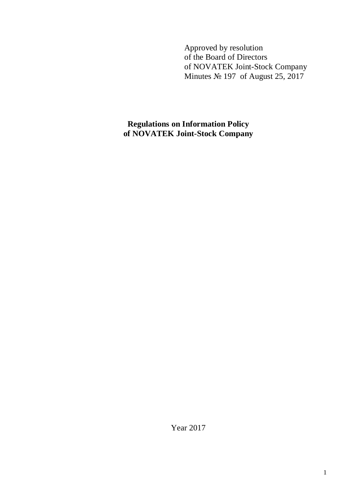Approved by resolution of the Board of Directors of NOVATEK Joint-Stock Company Minutes № 197 of August 25, 2017

**Regulations on Information Policy of NOVATEK Joint-Stock Company**

Year 2017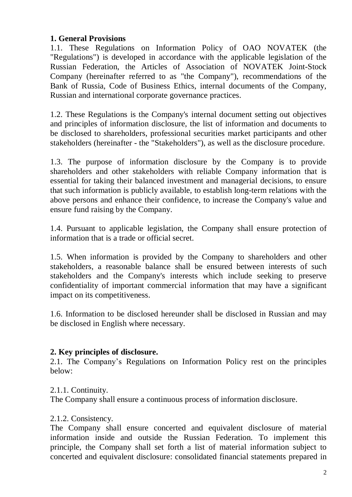# **1. General Provisions**

1.1. These Regulations on Information Policy of OAO NOVATEK (the "Regulations") is developed in accordance with the applicable legislation of the Russian Federation, the Articles of Association of NOVATEK Joint-Stock Company (hereinafter referred to as "the Company"), recommendations of the Bank of Russia, Code of Business Ethics, internal documents of the Company, Russian and international corporate governance practices.

1.2. These Regulations is the Company's internal document setting out objectives and principles of information disclosure, the list of information and documents to be disclosed to shareholders, professional securities market participants and other stakeholders (hereinafter - the "Stakeholders"), as well as the disclosure procedure.

1.3. The purpose of information disclosure by the Company is to provide shareholders and other stakeholders with reliable Company information that is essential for taking their balanced investment and managerial decisions, to ensure that such information is publicly available, to establish long-term relations with the above persons and enhance their confidence, to increase the Company's value and ensure fund raising by the Company.

1.4. Pursuant to applicable legislation, the Company shall ensure protection of information that is a trade or official secret.

1.5. When information is provided by the Company to shareholders and other stakeholders, a reasonable balance shall be ensured between interests of such stakeholders and the Company's interests which include seeking to preserve confidentiality of important commercial information that may have a significant impact on its competitiveness.

1.6. Information to be disclosed hereunder shall be disclosed in Russian and may be disclosed in English where necessary.

# **2. Key principles of disclosure.**

2.1. The Company's Regulations on Information Policy rest on the principles below:

# 2.1.1. Continuity.

The Company shall ensure a continuous process of information disclosure.

# 2.1.2. Consistency.

The Company shall ensure concerted and equivalent disclosure of material information inside and outside the Russian Federation. To implement this principle, the Company shall set forth a list of material information subject to concerted and equivalent disclosure: consolidated financial statements prepared in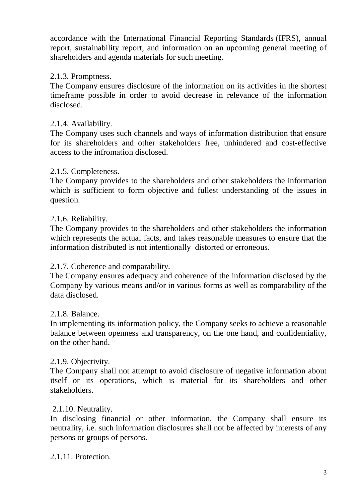accordance with the International Financial Reporting Standards (IFRS), annual report, sustainability report, and information on an upcoming general meeting of shareholders and agenda materials for such meeting.

## 2.1.3. Promptness.

The Company ensures disclosure of the information on its activities in the shortest timeframe possible in order to avoid decrease in relevance of the information disclosed.

## 2.1.4. Availability.

The Company uses such channels and ways of information distribution that ensure for its shareholders and other stakeholders free, unhindered and cost-effective access to the infromation disclosed.

## 2.1.5. Completeness.

The Company provides to the shareholders and other stakeholders the information which is sufficient to form objective and fullest understanding of the issues in question.

### 2.1.6. Reliability.

The Company provides to the shareholders and other stakeholders the information which represents the actual facts, and takes reasonable measures to ensure that the information distributed is not intentionally distorted or erroneous.

### 2.1.7. Coherence and comparability.

The Company ensures adequacy and coherence of the information disclosed by the Company by various means and/or in various forms as well as comparability of the data disclosed.

### 2.1.8. Balance.

In implementing its information policy, the Company seeks to achieve a reasonable balance between openness and transparency, on the one hand, and confidentiality, on the other hand.

### 2.1.9. Objectivity.

The Company shall not attempt to avoid disclosure of negative information about itself or its operations, which is material for its shareholders and other stakeholders.

### 2.1.10. Neutrality.

In disclosing financial or other information, the Company shall ensure its neutrality, i.e. such information disclosures shall not be affected by interests of any persons or groups of persons.

### 2.1.11. Protection.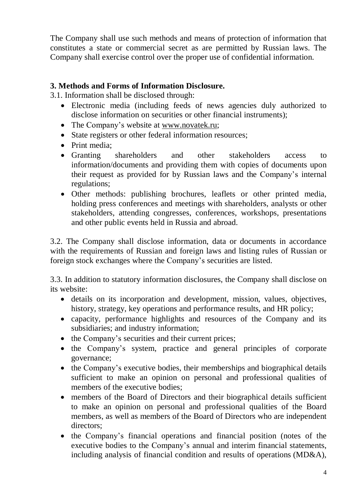The Company shall use such methods and means of protection of information that constitutes a state or commercial secret as are permitted by Russian laws. The Company shall exercise control over the proper use of confidential information.

# **3. Methods and Forms of Information Disclosure.**

3.1. Information shall be disclosed through:

- Electronic media (including feeds of news agencies duly authorized to disclose information on securities or other financial instruments);
- The Company's website at www.novatek.ru;
- State registers or other federal information resources;
- Print media:
- Granting shareholders and other stakeholders access to information/documents and providing them with copies of documents upon their request as provided for by Russian laws and the Company's internal regulations;
- Other methods: publishing brochures, leaflets or other printed media, holding press conferences and meetings with shareholders, analysts or other stakeholders, attending congresses, conferences, workshops, presentations and other public events held in Russia and abroad.

3.2. The Company shall disclose information, data or documents in accordance with the requirements of Russian and foreign laws and listing rules of Russian or foreign stock exchanges where the Company's securities are listed.

3.3. In addition to statutory information disclosures, the Company shall disclose on its website:

- details on its incorporation and development, mission, values, objectives, history, strategy, key operations and performance results, and HR policy;
- capacity, performance highlights and resources of the Company and its subsidiaries; and industry information;
- the Company's securities and their current prices;
- the Company's system, practice and general principles of corporate governance;
- the Company's executive bodies, their memberships and biographical details sufficient to make an opinion on personal and professional qualities of members of the executive bodies;
- members of the Board of Directors and their biographical details sufficient to make an opinion on personal and professional qualities of the Board members, as well as members of the Board of Directors who are independent directors;
- the Company's financial operations and financial position (notes of the executive bodies to the Company's annual and interim financial statements, including analysis of financial condition and results of operations (MD&A),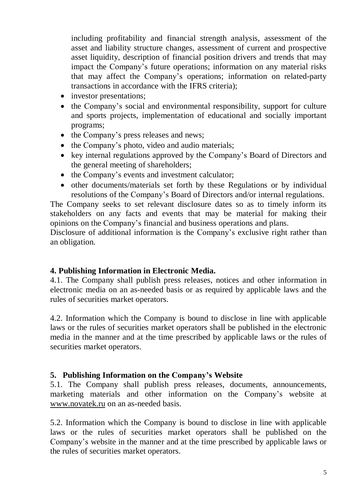including profitability and financial strength analysis, assessment of the asset and liability structure changes, assessment of current and prospective asset liquidity, description of financial position drivers and trends that may impact the Company's future operations; information on any material risks that may affect the Company's operations; information on related-party transactions in accordance with the IFRS criteria);

- investor presentations;
- the Company's social and environmental responsibility, support for culture and sports projects, implementation of educational and socially important programs;
- the Company's press releases and news;
- the Company's photo, video and audio materials;
- key internal regulations approved by the Company's Board of Directors and the general meeting of shareholders;
- the Company's events and investment calculator;
- other documents/materials set forth by these Regulations or by individual resolutions of the Company's Board of Directors and/or internal regulations.

The Company seeks to set relevant disclosure dates so as to timely inform its stakeholders on any facts and events that may be material for making their opinions on the Company's financial and business operations and plans.

Disclosure of additional information is the Company's exclusive right rather than an obligation.

# **4. Publishing Information in Electronic Media.**

4.1. The Company shall publish press releases, notices and other information in electronic media on an as-needed basis or as required by applicable laws and the rules of securities market operators.

4.2. Information which the Company is bound to disclose in line with applicable laws or the rules of securities market operators shall be published in the electronic media in the manner and at the time prescribed by applicable laws or the rules of securities market operators.

# **5. Publishing Information on the Company's Website**

5.1. The Company shall publish press releases, documents, announcements, marketing materials and other information on the Company's website at www.novatek.ru on an as-needed basis.

5.2. Information which the Company is bound to disclose in line with applicable laws or the rules of securities market operators shall be published on the Company's website in the manner and at the time prescribed by applicable laws or the rules of securities market operators.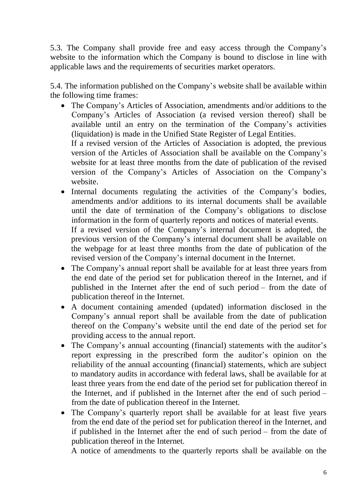5.3. The Company shall provide free and easy access through the Company's website to the information which the Company is bound to disclose in line with applicable laws and the requirements of securities market operators.

5.4. The information published on the Company's website shall be available within the following time frames:

 The Company's Articles of Association, amendments and/or additions to the Company's Articles of Association (a revised version thereof) shall be available until an entry on the termination of the Company's activities (liquidation) is made in the Unified State Register of Legal Entities.

If a revised version of the Articles of Association is adopted, the previous version of the Articles of Association shall be available on the Company's website for at least three months from the date of publication of the revised version of the Company's Articles of Association on the Company's website.

• Internal documents regulating the activities of the Company's bodies, amendments and/or additions to its internal documents shall be available until the date of termination of the Company's obligations to disclose information in the form of quarterly reports and notices of material events.

If a revised version of the Company's internal document is adopted, the previous version of the Company's internal document shall be available on the webpage for at least three months from the date of publication of the revised version of the Company's internal document in the Internet.

- The Company's annual report shall be available for at least three years from the end date of the period set for publication thereof in the Internet, and if published in the Internet after the end of such period – from the date of publication thereof in the Internet.
- A document containing amended (updated) information disclosed in the Company's annual report shall be available from the date of publication thereof on the Company's website until the end date of the period set for providing access to the annual report.
- The Company's annual accounting (financial) statements with the auditor's report expressing in the prescribed form the auditor's opinion on the reliability of the annual accounting (financial) statements, which are subject to mandatory audits in accordance with federal laws, shall be available for at least three years from the end date of the period set for publication thereof in the Internet, and if published in the Internet after the end of such period – from the date of publication thereof in the Internet.
- The Company's quarterly report shall be available for at least five years from the end date of the period set for publication thereof in the Internet, and if published in the Internet after the end of such period – from the date of publication thereof in the Internet.

A notice of amendments to the quarterly reports shall be available on the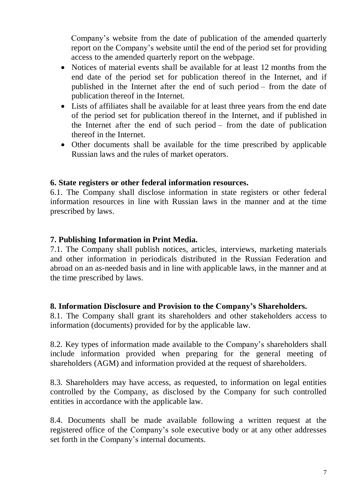Company's website from the date of publication of the amended quarterly report on the Company's website until the end of the period set for providing access to the amended quarterly report on the webpage.

- Notices of material events shall be available for at least 12 months from the end date of the period set for publication thereof in the Internet, and if published in the Internet after the end of such period – from the date of publication thereof in the Internet.
- Lists of affiliates shall be available for at least three years from the end date of the period set for publication thereof in the Internet, and if published in the Internet after the end of such period – from the date of publication thereof in the Internet.
- Other documents shall be available for the time prescribed by applicable Russian laws and the rules of market operators.

### **6. State registers or other federal information resources.**

6.1. The Company shall disclose information in state registers or other federal information resources in line with Russian laws in the manner and at the time prescribed by laws.

# **7. Publishing Information in Print Media.**

7.1. The Company shall publish notices, articles, interviews, marketing materials and other information in periodicals distributed in the Russian Federation and abroad on an as-needed basis and in line with applicable laws, in the manner and at the time prescribed by laws.

### **8. Information Disclosure and Provision to the Company's Shareholders.**

8.1. The Company shall grant its shareholders and other stakeholders access to information (documents) provided for by the applicable law.

8.2. Key types of information made available to the Company's shareholders shall include information provided when preparing for the general meeting of shareholders (AGM) and information provided at the request of shareholders.

8.3. Shareholders may have access, as requested, to information on legal entities controlled by the Company, as disclosed by the Company for such controlled entities in accordance with the applicable law.

8.4. Documents shall be made available following a written request at the registered office of the Company's sole executive body or at any other addresses set forth in the Company's internal documents.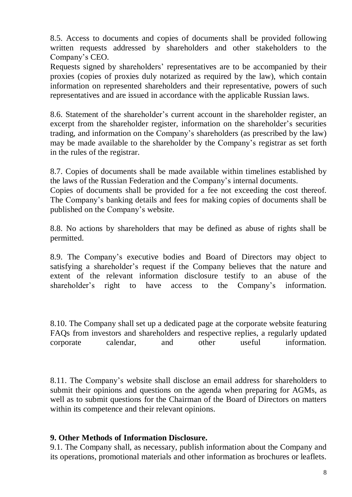8.5. Access to documents and copies of documents shall be provided following written requests addressed by shareholders and other stakeholders to the Company's CEO.

Requests signed by shareholders' representatives are to be accompanied by their proxies (copies of proxies duly notarized as required by the law), which contain information on represented shareholders and their representative, powers of such representatives and are issued in accordance with the applicable Russian laws.

8.6. Statement of the shareholder's current account in the shareholder register, an excerpt from the shareholder register, information on the shareholder's securities trading, and information on the Company's shareholders (as prescribed by the law) may be made available to the shareholder by the Company's registrar as set forth in the rules of the registrar.

8.7. Copies of documents shall be made available within timelines established by the laws of the Russian Federation and the Company's internal documents.

Copies of documents shall be provided for a fee not exceeding the cost thereof. The Company's banking details and fees for making copies of documents shall be published on the Company's website.

8.8. No actions by shareholders that may be defined as abuse of rights shall be permitted.

8.9. The Company's executive bodies and Board of Directors may object to satisfying a shareholder's request if the Company believes that the nature and extent of the relevant information disclosure testify to an abuse of the shareholder's right to have access to the Company's information.

8.10. The Company shall set up a dedicated page at the corporate website featuring FAQs from investors and shareholders and respective replies, a regularly updated corporate calendar, and other useful information.

8.11. The Company's website shall disclose an email address for shareholders to submit their opinions and questions on the agenda when preparing for AGMs, as well as to submit questions for the Chairman of the Board of Directors on matters within its competence and their relevant opinions.

# **9. Other Methods of Information Disclosure.**

9.1. The Company shall, as necessary, publish information about the Company and its operations, promotional materials and other information as brochures or leaflets.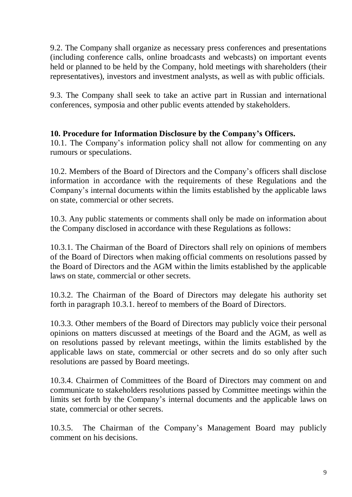9.2. The Company shall organize as necessary press conferences and presentations (including conference calls, online broadcasts and webcasts) on important events held or planned to be held by the Company, hold meetings with shareholders (their representatives), investors and investment analysts, as well as with public officials.

9.3. The Company shall seek to take an active part in Russian and international conferences, symposia and other public events attended by stakeholders.

# **10. Procedure for Information Disclosure by the Company's Officers.**

10.1. The Company's information policy shall not allow for commenting on any rumours or speculations.

10.2. Members of the Board of Directors and the Company's officers shall disclose information in accordance with the requirements of these Regulations and the Company's internal documents within the limits established by the applicable laws on state, commercial or other secrets.

10.3. Any public statements or comments shall only be made on information about the Company disclosed in accordance with these Regulations as follows:

10.3.1. The Chairman of the Board of Directors shall rely on opinions of members of the Board of Directors when making official comments on resolutions passed by the Board of Directors and the AGM within the limits established by the applicable laws on state, commercial or other secrets.

10.3.2. The Chairman of the Board of Directors may delegate his authority set forth in paragraph 10.3.1. hereof to members of the Board of Directors.

10.3.3. Other members of the Board of Directors may publicly voice their personal opinions on matters discussed at meetings of the Board and the AGM, as well as on resolutions passed by relevant meetings, within the limits established by the applicable laws on state, commercial or other secrets and do so only after such resolutions are passed by Board meetings.

10.3.4. Chairmen of Committees of the Board of Directors may comment on and communicate to stakeholders resolutions passed by Committee meetings within the limits set forth by the Company's internal documents and the applicable laws on state, commercial or other secrets.

10.3.5. The Chairman of the Company's Management Board may publicly comment on his decisions.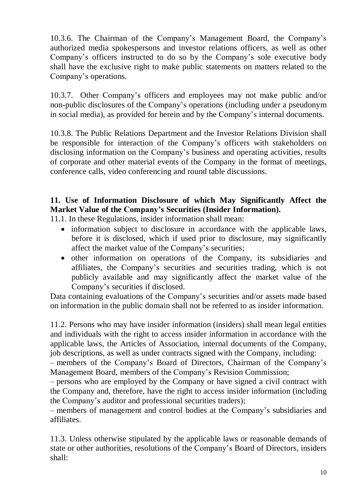10.3.6. The Chairman of the Company's Management Board, the Company's authorized media spokespersons and investor relations officers, as well as other Company's officers instructed to do so by the Company's sole executive body shall have the exclusive right to make public statements on matters related to the Company's operations.

10.3.7. Other Company's officers and employees may not make public and/or non-public disclosures of the Company's operations (including under a pseudonym in social media), as provided for herein and by the Company's internal documents.

10.3.8. The Public Relations Department and the Investor Relations Division shall be responsible for interaction of the Company's officers with stakeholders on disclosing information on the Company's business and operating activities, results of corporate and other material events of the Company in the format of meetings, conference calls, video conferencing and round table discussions.

# **11. Use of Information Disclosure of which May Significantly Affect the Market Value of the Company's Securities (Insider Information).**

11.1. In these Regulations, insider information shall mean:

- information subject to disclosure in accordance with the applicable laws, before it is disclosed, which if used prior to disclosure, may significantly affect the market value of the Company's securities;
- other information on operations of the Company, its subsidiaries and affiliates, the Company's securities and securities trading, which is not publicly available and may significantly affect the market value of the Company's securities if disclosed.

Data containing evaluations of the Company's securities and/or assets made based on information in the public domain shall not be referred to as insider information.

11.2. Persons who may have insider information (insiders) shall mean legal entities and individuals with the right to access insider information in accordance with the applicable laws, the Articles of Association, internal documents of the Company, job descriptions, as well as under contracts signed with the Company, including:

– members of the Company's Board of Directors, Chairman of the Company's Management Board, members of the Company's Revision Commission;

– persons who are employed by the Company or have signed a civil contract with the Company and, therefore, have the right to access insider information (including the Company's auditor and professional securities traders);

– members of management and control bodies at the Company's subsidiaries and affiliates.

11.3. Unless otherwise stipulated by the applicable laws or reasonable demands of state or other authorities, resolutions of the Company's Board of Directors, insiders shall: